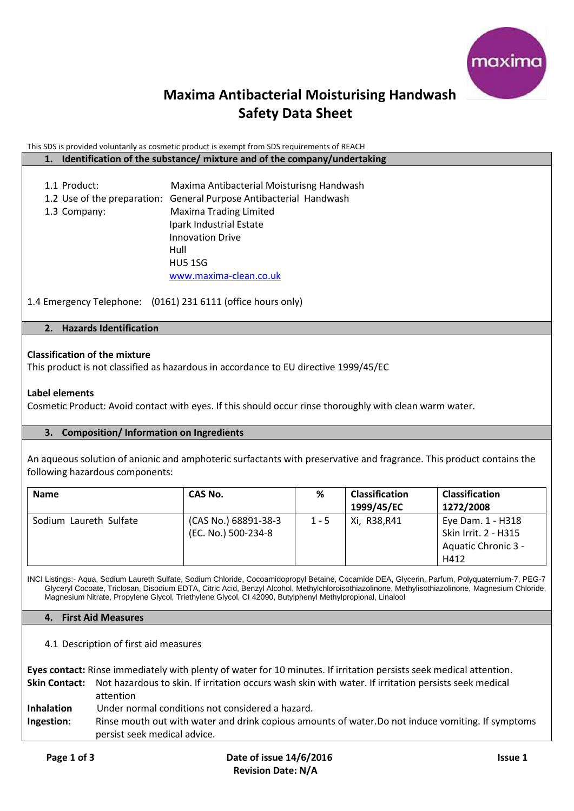

## **Maxima Antibacterial Moisturising Handwash Safety Data Sheet**

### This SDS is provided voluntarily as cosmetic product is exempt from SDS requirements of REACH

### **1. Identification of the substance/ mixture and of the company/undertaking**

1.1 Product: Maxima Antibacterial Moisturisng Handwash 1.2 Use of the preparation: General Purpose Antibacterial Handwash 1.3 Company: Maxima Trading Limited Ipark Industrial Estate Innovation Drive Hull HU5 1SG [www.maxima-clean.co.uk](http://www.maxima-clean.co.uk/)

1.4 Emergency Telephone: (0161) 231 6111 (office hours only)

## **2. Hazards Identification**

## **Classification of the mixture**

This product is not classified as hazardous in accordance to EU directive 1999/45/EC

### **Label elements**

Cosmetic Product: Avoid contact with eyes. If this should occur rinse thoroughly with clean warm water.

### **3. Composition/ Information on Ingredients**

An aqueous solution of anionic and amphoteric surfactants with preservative and fragrance. This product contains the following hazardous components:

| <b>Name</b>            | CAS No.                                     | %       | <b>Classification</b><br>1999/45/EC | <b>Classification</b><br>1272/2008                                       |
|------------------------|---------------------------------------------|---------|-------------------------------------|--------------------------------------------------------------------------|
| Sodium Laureth Sulfate | (CAS No.) 68891-38-3<br>(EC. No.) 500-234-8 | $1 - 5$ | Xi, R38, R41                        | Eye Dam. 1 - H318<br>Skin Irrit. 2 - H315<br>Aquatic Chronic 3 -<br>H412 |

INCI Listings:- Aqua, Sodium Laureth Sulfate, Sodium Chloride, Cocoamidopropyl Betaine, Cocamide DEA, Glycerin, Parfum, Polyquaternium-7, PEG-7 Glyceryl Cocoate, Triclosan, Disodium EDTA, Citric Acid, Benzyl Alcohol, Methylchloroisothiazolinone, Methylisothiazolinone, Magnesium Chloride, Magnesium Nitrate, Propylene Glycol, Triethylene Glycol, CI 42090, Butylphenyl Methylpropional, Linalool

### **4. First Aid Measures**

4.1 Description of first aid measures

**Eyes contact:** Rinse immediately with plenty of water for 10 minutes. If irritation persists seek medical attention.

**Skin Contact:** Not hazardous to skin. If irritation occurs wash skin with water. If irritation persists seek medical attention

- **Inhalation** Under normal conditions not considered a hazard.
- **Ingestion:** Rinse mouth out with water and drink copious amounts of water.Do not induce vomiting. If symptoms persist seek medical advice.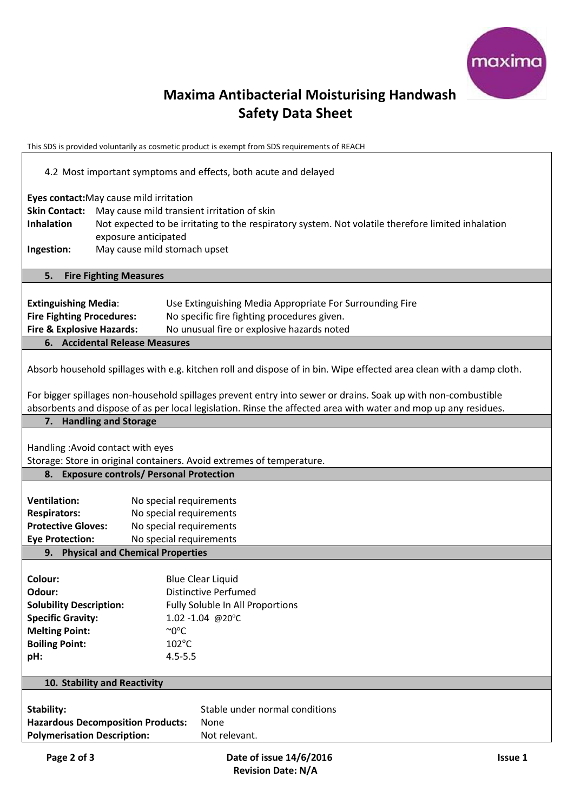

# **Maxima Antibacterial Moisturising Handwash Safety Data Sheet**

This SDS is provided voluntarily as cosmetic product is exempt from SDS requirements of REACH

| 4.2 Most important symptoms and effects, both acute and delayed                                                                                                                                                                       |                                                                                                                                                                                                                                                      |  |  |  |
|---------------------------------------------------------------------------------------------------------------------------------------------------------------------------------------------------------------------------------------|------------------------------------------------------------------------------------------------------------------------------------------------------------------------------------------------------------------------------------------------------|--|--|--|
| <b>Skin Contact:</b><br>Inhalation<br>Ingestion:                                                                                                                                                                                      | Eyes contact: May cause mild irritation<br>May cause mild transient irritation of skin<br>Not expected to be irritating to the respiratory system. Not volatile therefore limited inhalation<br>exposure anticipated<br>May cause mild stomach upset |  |  |  |
|                                                                                                                                                                                                                                       |                                                                                                                                                                                                                                                      |  |  |  |
| 5.                                                                                                                                                                                                                                    | <b>Fire Fighting Measures</b>                                                                                                                                                                                                                        |  |  |  |
| <b>Extinguishing Media:</b><br><b>Fire Fighting Procedures:</b><br><b>Fire &amp; Explosive Hazards:</b>                                                                                                                               | Use Extinguishing Media Appropriate For Surrounding Fire<br>No specific fire fighting procedures given.<br>No unusual fire or explosive hazards noted                                                                                                |  |  |  |
|                                                                                                                                                                                                                                       | <b>6.</b> Accidental Release Measures                                                                                                                                                                                                                |  |  |  |
| Absorb household spillages with e.g. kitchen roll and dispose of in bin. Wipe effected area clean with a damp cloth.<br>For bigger spillages non-household spillages prevent entry into sewer or drains. Soak up with non-combustible |                                                                                                                                                                                                                                                      |  |  |  |
|                                                                                                                                                                                                                                       | absorbents and dispose of as per local legislation. Rinse the affected area with water and mop up any residues.                                                                                                                                      |  |  |  |
|                                                                                                                                                                                                                                       | 7. Handling and Storage                                                                                                                                                                                                                              |  |  |  |
| Handling: Avoid contact with eyes<br>Storage: Store in original containers. Avoid extremes of temperature.                                                                                                                            |                                                                                                                                                                                                                                                      |  |  |  |
|                                                                                                                                                                                                                                       | 8. Exposure controls/ Personal Protection                                                                                                                                                                                                            |  |  |  |
| <b>Ventilation:</b><br><b>Respirators:</b><br><b>Protective Gloves:</b>                                                                                                                                                               | No special requirements<br>No special requirements<br>No special requirements                                                                                                                                                                        |  |  |  |
| <b>Eye Protection:</b>                                                                                                                                                                                                                | No special requirements                                                                                                                                                                                                                              |  |  |  |
|                                                                                                                                                                                                                                       | 9. Physical and Chemical Properties                                                                                                                                                                                                                  |  |  |  |
| Colour:<br>Odour:<br><b>Solubility Description:</b><br><b>Specific Gravity:</b><br><b>Melting Point:</b><br><b>Boiling Point:</b><br>pH:                                                                                              | <b>Blue Clear Liquid</b><br><b>Distinctive Perfumed</b><br>Fully Soluble In All Proportions<br>1.02 -1.04 @20°C<br>$\sim 0^{\circ}C$<br>102°C<br>$4.5 - 5.5$                                                                                         |  |  |  |
| 10. Stability and Reactivity                                                                                                                                                                                                          |                                                                                                                                                                                                                                                      |  |  |  |
| <b>Stability:</b><br><b>Polymerisation Description:</b>                                                                                                                                                                               | Stable under normal conditions<br><b>Hazardous Decomposition Products:</b><br>None<br>Not relevant.                                                                                                                                                  |  |  |  |